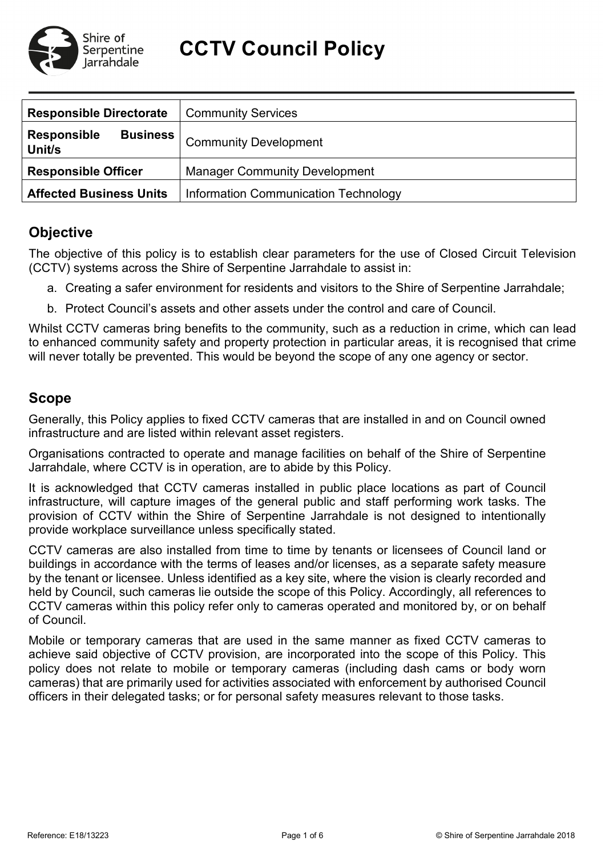

**CCTV Council Policy**

| <b>Responsible Directorate</b>                  | <b>Community Services</b>            |  |  |
|-------------------------------------------------|--------------------------------------|--|--|
| <b>Responsible</b><br><b>Business</b><br>Unit/s | <b>Community Development</b>         |  |  |
| <b>Responsible Officer</b>                      | <b>Manager Community Development</b> |  |  |
| <b>Affected Business Units</b>                  | Information Communication Technology |  |  |

# **Objective**

The objective of this policy is to establish clear parameters for the use of Closed Circuit Television (CCTV) systems across the Shire of Serpentine Jarrahdale to assist in:

- a. Creating a safer environment for residents and visitors to the Shire of Serpentine Jarrahdale;
- b. Protect Council's assets and other assets under the control and care of Council.

Whilst CCTV cameras bring benefits to the community, such as a reduction in crime, which can lead to enhanced community safety and property protection in particular areas, it is recognised that crime will never totally be prevented. This would be beyond the scope of any one agency or sector.

# **Scope**

Generally, this Policy applies to fixed CCTV cameras that are installed in and on Council owned infrastructure and are listed within relevant asset registers.

Organisations contracted to operate and manage facilities on behalf of the Shire of Serpentine Jarrahdale, where CCTV is in operation, are to abide by this Policy.

It is acknowledged that CCTV cameras installed in public place locations as part of Council infrastructure, will capture images of the general public and staff performing work tasks. The provision of CCTV within the Shire of Serpentine Jarrahdale is not designed to intentionally provide workplace surveillance unless specifically stated.

CCTV cameras are also installed from time to time by tenants or licensees of Council land or buildings in accordance with the terms of leases and/or licenses, as a separate safety measure by the tenant or licensee. Unless identified as a key site, where the vision is clearly recorded and held by Council, such cameras lie outside the scope of this Policy. Accordingly, all references to CCTV cameras within this policy refer only to cameras operated and monitored by, or on behalf of Council.

Mobile or temporary cameras that are used in the same manner as fixed CCTV cameras to achieve said objective of CCTV provision, are incorporated into the scope of this Policy. This policy does not relate to mobile or temporary cameras (including dash cams or body worn cameras) that are primarily used for activities associated with enforcement by authorised Council officers in their delegated tasks; or for personal safety measures relevant to those tasks.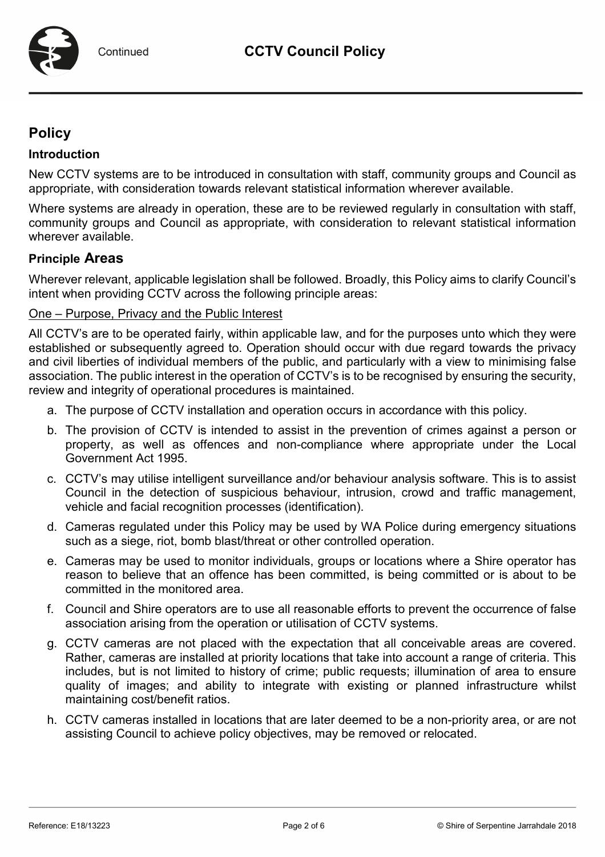# **Policy**

#### **Introduction**

New CCTV systems are to be introduced in consultation with staff, community groups and Council as appropriate, with consideration towards relevant statistical information wherever available.

Where systems are already in operation, these are to be reviewed regularly in consultation with staff, community groups and Council as appropriate, with consideration to relevant statistical information wherever available.

## **Principle Areas**

Wherever relevant, applicable legislation shall be followed. Broadly, this Policy aims to clarify Council's intent when providing CCTV across the following principle areas:

#### One – Purpose, Privacy and the Public Interest

All CCTV's are to be operated fairly, within applicable law, and for the purposes unto which they were established or subsequently agreed to. Operation should occur with due regard towards the privacy and civil liberties of individual members of the public, and particularly with a view to minimising false association. The public interest in the operation of CCTV's is to be recognised by ensuring the security, review and integrity of operational procedures is maintained.

- a. The purpose of CCTV installation and operation occurs in accordance with this policy.
- b. The provision of CCTV is intended to assist in the prevention of crimes against a person or property, as well as offences and non-compliance where appropriate under the Local Government Act 1995.
- c. CCTV's may utilise intelligent surveillance and/or behaviour analysis software. This is to assist Council in the detection of suspicious behaviour, intrusion, crowd and traffic management, vehicle and facial recognition processes (identification).
- d. Cameras regulated under this Policy may be used by WA Police during emergency situations such as a siege, riot, bomb blast/threat or other controlled operation.
- e. Cameras may be used to monitor individuals, groups or locations where a Shire operator has reason to believe that an offence has been committed, is being committed or is about to be committed in the monitored area.
- f. Council and Shire operators are to use all reasonable efforts to prevent the occurrence of false association arising from the operation or utilisation of CCTV systems.
- g. CCTV cameras are not placed with the expectation that all conceivable areas are covered. Rather, cameras are installed at priority locations that take into account a range of criteria. This includes, but is not limited to history of crime; public requests; illumination of area to ensure quality of images; and ability to integrate with existing or planned infrastructure whilst maintaining cost/benefit ratios.
- h. CCTV cameras installed in locations that are later deemed to be a non-priority area, or are not assisting Council to achieve policy objectives, may be removed or relocated.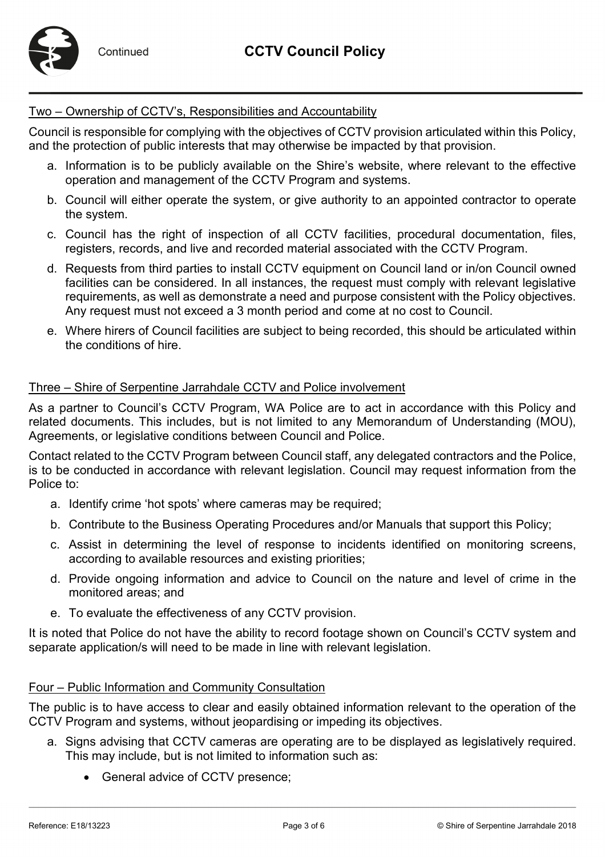

## Two – Ownership of CCTV's, Responsibilities and Accountability

Council is responsible for complying with the objectives of CCTV provision articulated within this Policy, and the protection of public interests that may otherwise be impacted by that provision.

- a. Information is to be publicly available on the Shire's website, where relevant to the effective operation and management of the CCTV Program and systems.
- b. Council will either operate the system, or give authority to an appointed contractor to operate the system.
- c. Council has the right of inspection of all CCTV facilities, procedural documentation, files, registers, records, and live and recorded material associated with the CCTV Program.
- d. Requests from third parties to install CCTV equipment on Council land or in/on Council owned facilities can be considered. In all instances, the request must comply with relevant legislative requirements, as well as demonstrate a need and purpose consistent with the Policy objectives. Any request must not exceed a 3 month period and come at no cost to Council.
- e. Where hirers of Council facilities are subject to being recorded, this should be articulated within the conditions of hire.

## Three – Shire of Serpentine Jarrahdale CCTV and Police involvement

As a partner to Council's CCTV Program, WA Police are to act in accordance with this Policy and related documents. This includes, but is not limited to any Memorandum of Understanding (MOU), Agreements, or legislative conditions between Council and Police.

Contact related to the CCTV Program between Council staff, any delegated contractors and the Police, is to be conducted in accordance with relevant legislation. Council may request information from the Police to:

- a. Identify crime 'hot spots' where cameras may be required;
- b. Contribute to the Business Operating Procedures and/or Manuals that support this Policy;
- c. Assist in determining the level of response to incidents identified on monitoring screens, according to available resources and existing priorities;
- d. Provide ongoing information and advice to Council on the nature and level of crime in the monitored areas; and
- e. To evaluate the effectiveness of any CCTV provision.

It is noted that Police do not have the ability to record footage shown on Council's CCTV system and separate application/s will need to be made in line with relevant legislation.

#### Four – Public Information and Community Consultation

The public is to have access to clear and easily obtained information relevant to the operation of the CCTV Program and systems, without jeopardising or impeding its objectives.

- a. Signs advising that CCTV cameras are operating are to be displayed as legislatively required. This may include, but is not limited to information such as:
	- General advice of CCTV presence;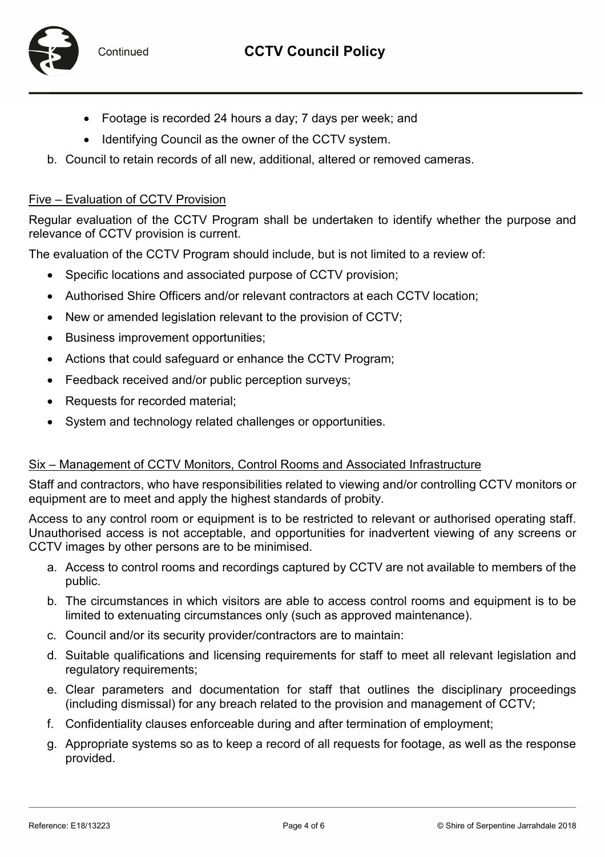

- Footage is recorded 24 hours a day; 7 days per week; and
- Identifying Council as the owner of the CCTV system.
- b. Council to retain records of all new, additional, altered or removed cameras.

#### Five – Evaluation of CCTV Provision

Regular evaluation of the CCTV Program shall be undertaken to identify whether the purpose and relevance of CCTV provision is current.

The evaluation of the CCTV Program should include, but is not limited to a review of:

- Specific locations and associated purpose of CCTV provision;
- Authorised Shire Officers and/or relevant contractors at each CCTV location;
- New or amended legislation relevant to the provision of CCTV;
- Business improvement opportunities;
- Actions that could safeguard or enhance the CCTV Program;
- Feedback received and/or public perception surveys;
- Requests for recorded material;
- System and technology related challenges or opportunities.

#### Six – Management of CCTV Monitors, Control Rooms and Associated Infrastructure

Staff and contractors, who have responsibilities related to viewing and/or controlling CCTV monitors or equipment are to meet and apply the highest standards of probity.

Access to any control room or equipment is to be restricted to relevant or authorised operating staff. Unauthorised access is not acceptable, and opportunities for inadvertent viewing of any screens or CCTV images by other persons are to be minimised.

- a. Access to control rooms and recordings captured by CCTV are not available to members of the public.
- b. The circumstances in which visitors are able to access control rooms and equipment is to be limited to extenuating circumstances only (such as approved maintenance).
- c. Council and/or its security provider/contractors are to maintain:
- d. Suitable qualifications and licensing requirements for staff to meet all relevant legislation and regulatory requirements;
- e. Clear parameters and documentation for staff that outlines the disciplinary proceedings (including dismissal) for any breach related to the provision and management of CCTV;
- f. Confidentiality clauses enforceable during and after termination of employment;
- g. Appropriate systems so as to keep a record of all requests for footage, as well as the response provided.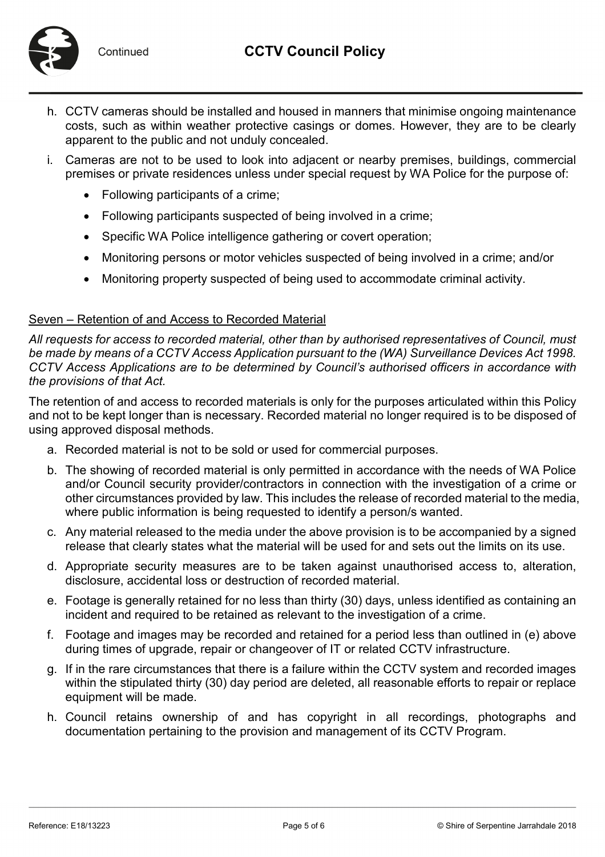

Continued

- h. CCTV cameras should be installed and housed in manners that minimise ongoing maintenance costs, such as within weather protective casings or domes. However, they are to be clearly apparent to the public and not unduly concealed.
- i. Cameras are not to be used to look into adjacent or nearby premises, buildings, commercial premises or private residences unless under special request by WA Police for the purpose of:
	- Following participants of a crime;
	- Following participants suspected of being involved in a crime;
	- Specific WA Police intelligence gathering or covert operation;
	- Monitoring persons or motor vehicles suspected of being involved in a crime; and/or
	- Monitoring property suspected of being used to accommodate criminal activity.

## Seven – Retention of and Access to Recorded Material

*All requests for access to recorded material, other than by authorised representatives of Council, must be made by means of a CCTV Access Application pursuant to the (WA) Surveillance Devices Act 1998. CCTV Access Applications are to be determined by Council's authorised officers in accordance with the provisions of that Act.*

The retention of and access to recorded materials is only for the purposes articulated within this Policy and not to be kept longer than is necessary. Recorded material no longer required is to be disposed of using approved disposal methods.

- a. Recorded material is not to be sold or used for commercial purposes.
- b. The showing of recorded material is only permitted in accordance with the needs of WA Police and/or Council security provider/contractors in connection with the investigation of a crime or other circumstances provided by law. This includes the release of recorded material to the media, where public information is being requested to identify a person/s wanted.
- c. Any material released to the media under the above provision is to be accompanied by a signed release that clearly states what the material will be used for and sets out the limits on its use.
- d. Appropriate security measures are to be taken against unauthorised access to, alteration, disclosure, accidental loss or destruction of recorded material.
- e. Footage is generally retained for no less than thirty (30) days, unless identified as containing an incident and required to be retained as relevant to the investigation of a crime.
- f. Footage and images may be recorded and retained for a period less than outlined in (e) above during times of upgrade, repair or changeover of IT or related CCTV infrastructure.
- g. If in the rare circumstances that there is a failure within the CCTV system and recorded images within the stipulated thirty (30) day period are deleted, all reasonable efforts to repair or replace equipment will be made.
- h. Council retains ownership of and has copyright in all recordings, photographs and documentation pertaining to the provision and management of its CCTV Program.